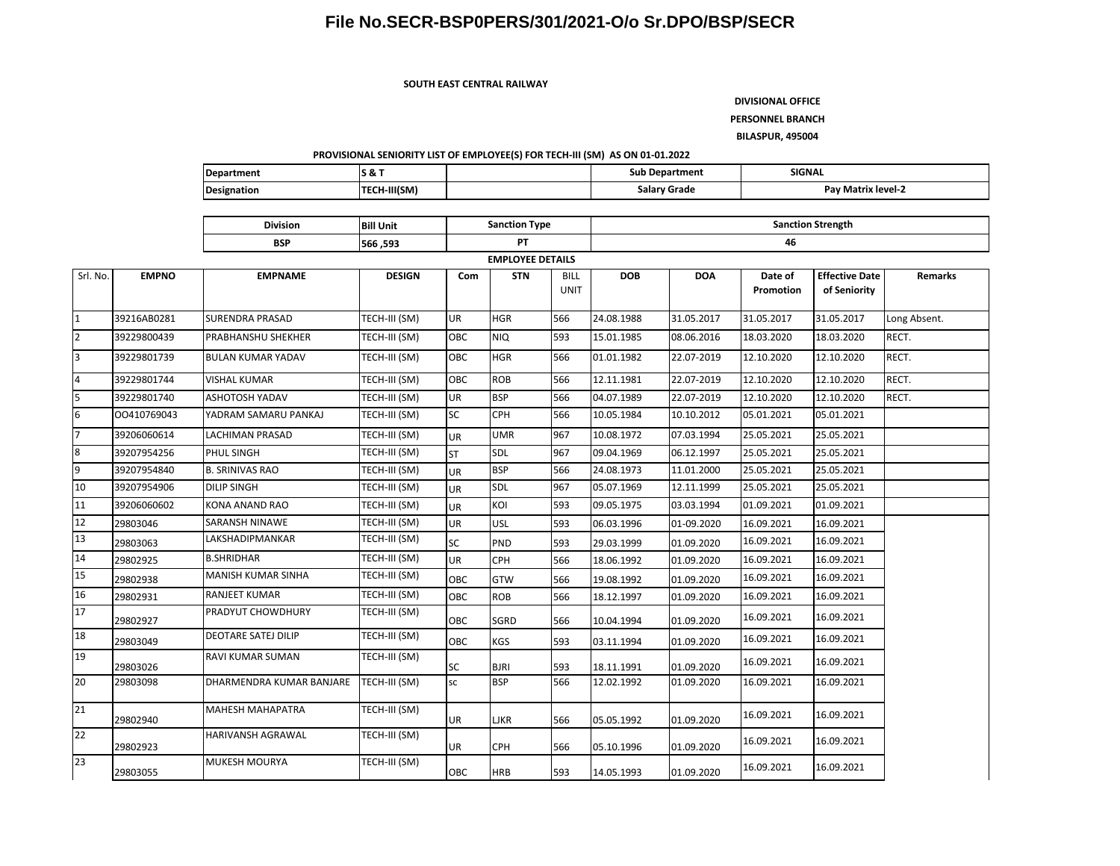**SOUTH EAST CENTRAL RAILWAY**

**DIVISIONAL OFFICE**

**PERSONNEL BRANCH**

**BILASPUR, 495004**

#### **PROVISIONAL SENIORITY LIST OF EMPLOYEE(S) FOR TECH-III (SM) AS ON 01-01.2022**

| <b>IDepartment</b> | - 0<br>ິ       | Sub Department  | <b>SIGNAL</b>      |
|--------------------|----------------|-----------------|--------------------|
| <b>Designation</b> | -III(SM)<br>-- | Grade<br>Salary | Pav Matrix level-2 |

|                 |              | <b>Division</b><br><b>Bill Unit</b> |                         |            | <b>Sanction Type</b> |                            | <b>Sanction Strength</b> |            |                      |                                       |              |  |  |  |
|-----------------|--------------|-------------------------------------|-------------------------|------------|----------------------|----------------------------|--------------------------|------------|----------------------|---------------------------------------|--------------|--|--|--|
|                 |              | <b>BSP</b>                          | 566, 593                |            | PT                   |                            |                          |            | 46                   |                                       |              |  |  |  |
|                 |              |                                     | <b>EMPLOYEE DETAILS</b> |            |                      |                            |                          |            |                      |                                       |              |  |  |  |
| Srl. No.        | <b>EMPNO</b> | <b>EMPNAME</b>                      | <b>DESIGN</b>           | Com        | <b>STN</b>           | <b>BILL</b><br><b>UNIT</b> | <b>DOB</b>               | <b>DOA</b> | Date of<br>Promotion | <b>Effective Date</b><br>of Seniority | Remarks      |  |  |  |
| $\mathbf{1}$    | 39216AB0281  | <b>SURENDRA PRASAD</b>              | TECH-III (SM)           | <b>UR</b>  | <b>HGR</b>           | 566                        | 24.08.1988               | 31.05.2017 | 31.05.2017           | 31.05.2017                            | Long Absent. |  |  |  |
| $\overline{2}$  | 39229800439  | PRABHANSHU SHEKHER                  | TECH-III (SM)           | OBC        | <b>NIQ</b>           | 593                        | 15.01.1985               | 08.06.2016 | 18.03.2020           | 18.03.2020                            | RECT.        |  |  |  |
| 3               | 39229801739  | <b>BULAN KUMAR YADAV</b>            | TECH-III (SM)           | <b>OBC</b> | <b>HGR</b>           | 566                        | 01.01.1982               | 22.07-2019 | 12.10.2020           | 12.10.2020                            | RECT.        |  |  |  |
| 4               | 39229801744  | <b>VISHAL KUMAR</b>                 | TECH-III (SM)           | <b>OBC</b> | <b>ROB</b>           | 566                        | 12.11.1981               | 22.07-2019 | 12.10.2020           | 12.10.2020                            | RECT.        |  |  |  |
| 5               | 39229801740  | ASHOTOSH YADAV                      | TECH-III (SM)           | UR         | <b>BSP</b>           | 566                        | 04.07.1989               | 22.07-2019 | 12.10.2020           | 12.10.2020                            | RECT.        |  |  |  |
| 6               | 00410769043  | YADRAM SAMARU PANKAJ                | TECH-III (SM)           | <b>SC</b>  | <b>CPH</b>           | 566                        | 10.05.1984               | 10.10.2012 | 05.01.2021           | 05.01.2021                            |              |  |  |  |
| $\overline{7}$  | 39206060614  | <b>LACHIMAN PRASAD</b>              | TECH-III (SM)           | UR         | UMR                  | 967                        | 10.08.1972               | 07.03.1994 | 25.05.2021           | 25.05.2021                            |              |  |  |  |
| 8               | 39207954256  | PHUL SINGH                          | TECH-III (SM)           | <b>ST</b>  | SDL                  | 967                        | 09.04.1969               | 06.12.1997 | 25.05.2021           | 25.05.2021                            |              |  |  |  |
| 9               | 39207954840  | <b>B. SRINIVAS RAO</b>              | TECH-III (SM)           | <b>UR</b>  | <b>BSP</b>           | 566                        | 24.08.1973               | 11.01.2000 | 25.05.2021           | 25.05.2021                            |              |  |  |  |
| 10              | 39207954906  | <b>DILIP SINGH</b>                  | TECH-III (SM)           | <b>UR</b>  | SDL                  | 967                        | 05.07.1969               | 12.11.1999 | 25.05.2021           | 25.05.2021                            |              |  |  |  |
| 11              | 39206060602  | KONA ANAND RAO                      | TECH-III (SM)           | <b>UR</b>  | KOI                  | 593                        | 09.05.1975               | 03.03.1994 | 01.09.2021           | 01.09.2021                            |              |  |  |  |
| 12              | 29803046     | SARANSH NINAWE                      | TECH-III (SM)           | <b>UR</b>  | <b>USL</b>           | 593                        | 06.03.1996               | 01-09.2020 | 16.09.2021           | 16.09.2021                            |              |  |  |  |
| 13              | 29803063     | LAKSHADIPMANKAR                     | TECH-III (SM)           | <b>SC</b>  | PND                  | 593                        | 29.03.1999               | 01.09.2020 | 16.09.2021           | 16.09.2021                            |              |  |  |  |
| 14              | 29802925     | <b>B.SHRIDHAR</b>                   | TECH-III (SM)           | <b>UR</b>  | CPH                  | 566                        | 18.06.1992               | 01.09.2020 | 16.09.2021           | 16.09.2021                            |              |  |  |  |
| $\overline{15}$ | 29802938     | MANISH KUMAR SINHA                  | TECH-III (SM)           | <b>OBC</b> | <b>GTW</b>           | 566                        | 19.08.1992               | 01.09.2020 | 16.09.2021           | 16.09.2021                            |              |  |  |  |
| 16              | 29802931     | <b>RANJEET KUMAR</b>                | TECH-III (SM)           | <b>OBC</b> | <b>ROB</b>           | 566                        | 18.12.1997               | 01.09.2020 | 16.09.2021           | 16.09.2021                            |              |  |  |  |
| 17              | 29802927     | PRADYUT CHOWDHURY                   | TECH-III (SM)           | <b>OBC</b> | SGRD                 | 566                        | 10.04.1994               | 01.09.2020 | 16.09.2021           | 16.09.2021                            |              |  |  |  |
| 18              | 29803049     | <b>DEOTARE SATEJ DILIP</b>          | TECH-III (SM)           | <b>OBC</b> | KGS                  | 593                        | 03.11.1994               | 01.09.2020 | 16.09.2021           | 16.09.2021                            |              |  |  |  |
| 19              | 29803026     | RAVI KUMAR SUMAN                    | TECH-III (SM)           | SC         | <b>BJRI</b>          | 593                        | 18.11.1991               | 01.09.2020 | 16.09.2021           | 16.09.2021                            |              |  |  |  |
| 20              | 29803098     | DHARMENDRA KUMAR BANJARE            | TECH-III (SM)           | sc         | <b>BSP</b>           | 566                        | 12.02.1992               | 01.09.2020 | 16.09.2021           | 16.09.2021                            |              |  |  |  |
| 21              | 29802940     | <b>MAHESH MAHAPATRA</b>             | TECH-III (SM)           | <b>UR</b>  | <b>LJKR</b>          | 566                        | 05.05.1992               | 01.09.2020 | 16.09.2021           | 16.09.2021                            |              |  |  |  |
| 22              | 29802923     | HARIVANSH AGRAWAL                   | TECH-III (SM)           | UR         | CPH                  | 566                        | 05.10.1996               | 01.09.2020 | 16.09.2021           | 16.09.2021                            |              |  |  |  |
| 23              | 29803055     | <b>MUKESH MOURYA</b>                | TECH-III (SM)           | <b>OBC</b> | <b>HRB</b>           | 593                        | 14.05.1993               | 01.09.2020 | 16.09.2021           | 16.09.2021                            |              |  |  |  |

17

19

21

22

23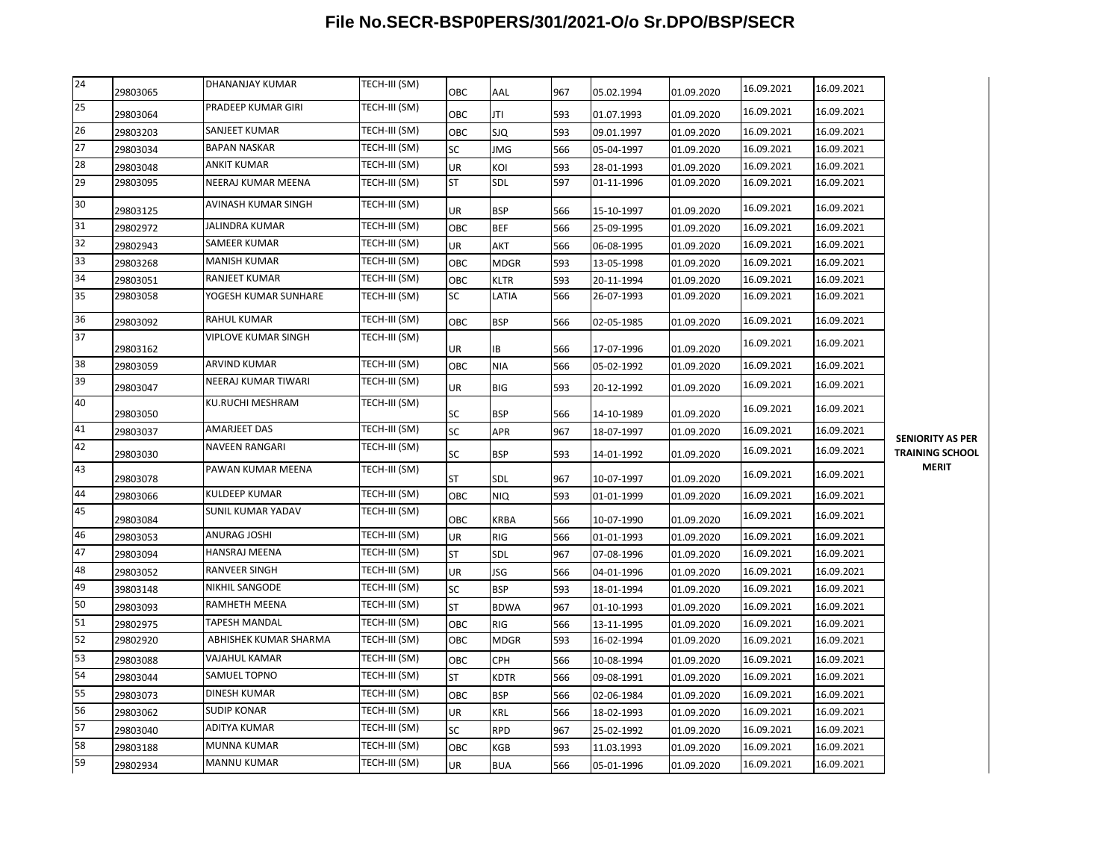| 24              | 29803065 | DHANANJAY KUMAR       | TECH-III (SM) | ОВС        | AAL         | 967 | 05.02.1994 | 01.09.2020 | 16.09.2021 | 16.09.2021 |                                                   |
|-----------------|----------|-----------------------|---------------|------------|-------------|-----|------------|------------|------------|------------|---------------------------------------------------|
| $\overline{25}$ | 29803064 | PRADEEP KUMAR GIRI    | TECH-III (SM) | <b>OBC</b> | JTI         | 593 | 01.07.1993 | 01.09.2020 | 16.09.2021 | 16.09.2021 |                                                   |
| 26              | 29803203 | SANJEET KUMAR         | TECH-III (SM) | OBC        | SJQ         | 593 | 09.01.1997 | 01.09.2020 | 16.09.2021 | 16.09.2021 |                                                   |
| 27              | 29803034 | <b>BAPAN NASKAR</b>   | TECH-III (SM) | SC         | JMG         | 566 | 05-04-1997 | 01.09.2020 | 16.09.2021 | 16.09.2021 |                                                   |
| 28              | 29803048 | ANKIT KUMAR           | TECH-III (SM) | UR         | KOI         | 593 | 28-01-1993 | 01.09.2020 | 16.09.2021 | 16.09.2021 |                                                   |
| 29              | 29803095 | NEERAJ KUMAR MEENA    | TECH-III (SM) | <b>ST</b>  | SDL         | 597 | 01-11-1996 | 01.09.2020 | 16.09.2021 | 16.09.2021 |                                                   |
| 30              | 29803125 | AVINASH KUMAR SINGH   | TECH-III (SM) | UR         | <b>BSP</b>  | 566 | 15-10-1997 | 01.09.2020 | 16.09.2021 | 16.09.2021 |                                                   |
| 31              | 29802972 | <b>JALINDRA KUMAR</b> | TECH-III (SM) | OBC        | <b>BEF</b>  | 566 | 25-09-1995 | 01.09.2020 | 16.09.2021 | 16.09.2021 |                                                   |
| 32              | 29802943 | SAMEER KUMAR          | TECH-III (SM) | UR         | AKT         | 566 | 06-08-1995 | 01.09.2020 | 16.09.2021 | 16.09.2021 |                                                   |
| 33              | 29803268 | <b>MANISH KUMAR</b>   | TECH-III (SM) | OBC        | MDGR        | 593 | 13-05-1998 | 01.09.2020 | 16.09.2021 | 16.09.2021 |                                                   |
| 34              | 29803051 | RANJEET KUMAR         | TECH-III (SM) | OBC        | KLTR        | 593 | 20-11-1994 | 01.09.2020 | 16.09.2021 | 16.09.2021 |                                                   |
| 35              | 29803058 | YOGESH KUMAR SUNHARE  | TECH-III (SM) | SC         | LATIA       | 566 | 26-07-1993 | 01.09.2020 | 16.09.2021 | 16.09.2021 |                                                   |
| 36              | 29803092 | <b>RAHUL KUMAR</b>    | TECH-III (SM) | OBC        | <b>BSP</b>  | 566 | 02-05-1985 | 01.09.2020 | 16.09.2021 | 16.09.2021 |                                                   |
| 37              | 29803162 | VIPLOVE KUMAR SINGH   | TECH-III (SM) | UR         | IB          | 566 | 17-07-1996 | 01.09.2020 | 16.09.2021 | 16.09.2021 |                                                   |
| 38              | 29803059 | <b>ARVIND KUMAR</b>   | TECH-III (SM) | OBC        | <b>NIA</b>  | 566 | 05-02-1992 | 01.09.2020 | 16.09.2021 | 16.09.2021 |                                                   |
| 39              | 29803047 | NEERAJ KUMAR TIWARI   | TECH-III (SM) | UR         | BIG         | 593 | 20-12-1992 | 01.09.2020 | 16.09.2021 | 16.09.2021 |                                                   |
| 40              | 29803050 | KU.RUCHI MESHRAM      | TECH-III (SM) | SC         | <b>BSP</b>  | 566 | 14-10-1989 | 01.09.2020 | 16.09.2021 | 16.09.2021 |                                                   |
| 41              | 29803037 | <b>AMARJEET DAS</b>   | TECH-III (SM) | SC         | APR         | 967 | 18-07-1997 | 01.09.2020 | 16.09.2021 | 16.09.2021 |                                                   |
| 42              | 29803030 | <b>NAVEEN RANGARI</b> | TECH-III (SM) | SC         | BSP         | 593 | 14-01-1992 | 01.09.2020 | 16.09.2021 | 16.09.2021 | <b>SENIORITY AS PER</b><br><b>TRAINING SCHOOL</b> |
| 43              | 29803078 | PAWAN KUMAR MEENA     | TECH-III (SM) | <b>ST</b>  | SDL         | 967 | 10-07-1997 | 01.09.2020 | 16.09.2021 | 16.09.2021 | <b>MERIT</b>                                      |
| 44              | 29803066 | <b>KULDEEP KUMAR</b>  | TECH-III (SM) | OBC        | NIQ         | 593 | 01-01-1999 | 01.09.2020 | 16.09.2021 | 16.09.2021 |                                                   |
| 45              | 29803084 | SUNIL KUMAR YADAV     | TECH-III (SM) | OBC        | KRBA        | 566 | 10-07-1990 | 01.09.2020 | 16.09.2021 | 16.09.2021 |                                                   |
| 46              | 29803053 | ANURAG JOSHI          | TECH-III (SM) | UR         | RIG         | 566 | 01-01-1993 | 01.09.2020 | 16.09.2021 | 16.09.2021 |                                                   |
| 47              | 29803094 | HANSRAJ MEENA         | TECH-III (SM) | <b>ST</b>  | SDL         | 967 | 07-08-1996 | 01.09.2020 | 16.09.2021 | 16.09.2021 |                                                   |
| 48              | 29803052 | <b>RANVEER SINGH</b>  | TECH-III (SM) | UR         | JSG         | 566 | 04-01-1996 | 01.09.2020 | 16.09.2021 | 16.09.2021 |                                                   |
| 49              | 39803148 | NIKHIL SANGODE        | TECH-III (SM) | SC         | <b>BSP</b>  | 593 | 18-01-1994 | 01.09.2020 | 16.09.2021 | 16.09.2021 |                                                   |
| 50              | 29803093 | RAMHETH MEENA         | TECH-III (SM) | ST         | <b>BDWA</b> | 967 | 01-10-1993 | 01.09.2020 | 16.09.2021 | 16.09.2021 |                                                   |
| 51              | 29802975 | <b>TAPESH MANDAL</b>  | TECH-III (SM) | OBC        | RIG         | 566 | 13-11-1995 | 01.09.2020 | 16.09.2021 | 16.09.2021 |                                                   |
| 52              | 29802920 | ABHISHEK KUMAR SHARMA | TECH-III (SM) | OBC        | <b>MDGR</b> | 593 | 16-02-1994 | 01.09.2020 | 16.09.2021 | 16.09.2021 |                                                   |
| 53              | 29803088 | VAJAHUL KAMAR         | TECH-III (SM) | OBC        | CPH         | 566 | 10-08-1994 | 01.09.2020 | 16.09.2021 | 16.09.2021 |                                                   |
| 54              | 29803044 | SAMUEL TOPNO          | TECH-III (SM) | ST         | KDTR        | 566 | 09-08-1991 | 01.09.2020 | 16.09.2021 | 16.09.2021 |                                                   |
| 55              | 29803073 | DINESH KUMAR          | TECH-III (SM) | OBC        | <b>BSP</b>  | 566 | 02-06-1984 | 01.09.2020 | 16.09.2021 | 16.09.2021 |                                                   |
| 56              | 29803062 | <b>SUDIP KONAR</b>    | TECH-III (SM) | UR         | KRL         | 566 | 18-02-1993 | 01.09.2020 | 16.09.2021 | 16.09.2021 |                                                   |
| 57              | 29803040 | ADITYA KUMAR          | TECH-III (SM) | SC         | <b>RPD</b>  | 967 | 25-02-1992 | 01.09.2020 | 16.09.2021 | 16.09.2021 |                                                   |
| 58              | 29803188 | MUNNA KUMAR           | TECH-III (SM) | OBC        | KGB         | 593 | 11.03.1993 | 01.09.2020 | 16.09.2021 | 16.09.2021 |                                                   |
| 59              | 29802934 | <b>MANNU KUMAR</b>    | TECH-III (SM) | <b>UR</b>  | <b>BUA</b>  | 566 | 05-01-1996 | 01.09.2020 | 16.09.2021 | 16.09.2021 |                                                   |
|                 |          |                       |               |            |             |     |            |            |            |            |                                                   |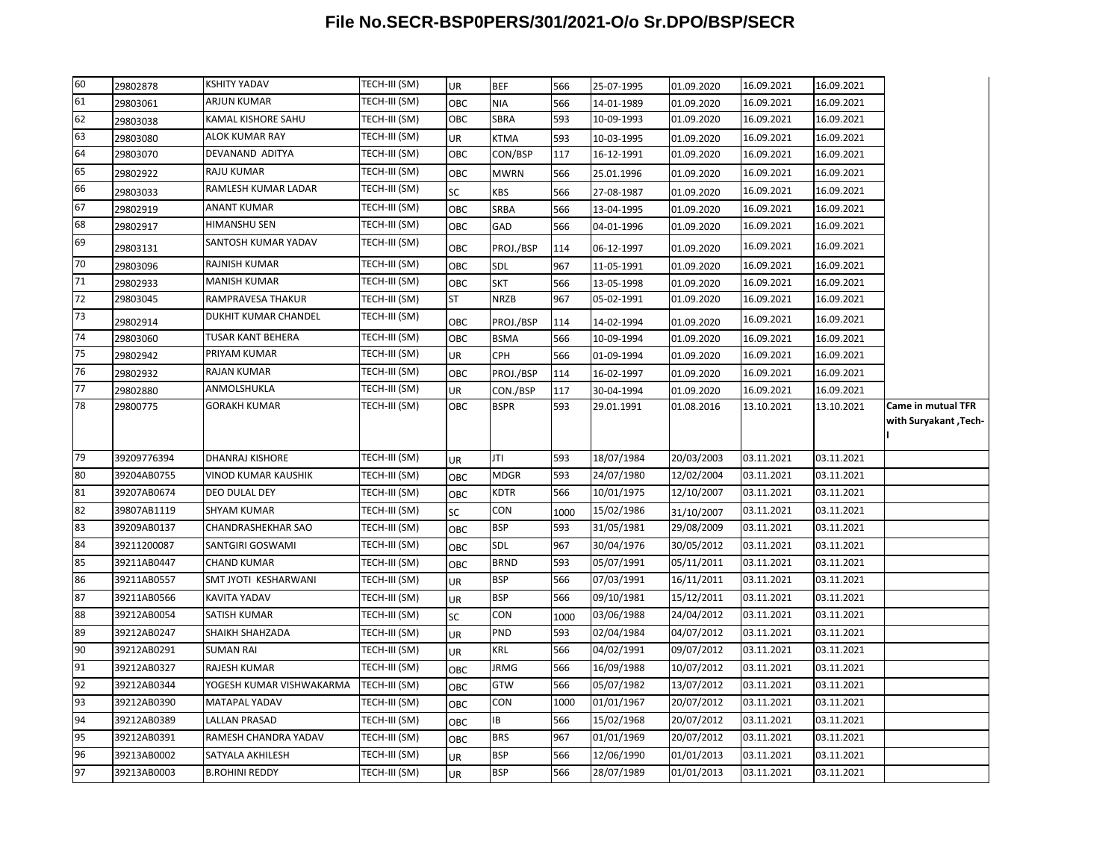| 60       | 29802878                   | <b>KSHITY YADAV</b>                       | TECH-III (SM)                  | UR              | <b>BEF</b>               | 566        | 25-07-1995               | 01.09.2020               | 16.09.2021               | 16.09.2021               |                           |
|----------|----------------------------|-------------------------------------------|--------------------------------|-----------------|--------------------------|------------|--------------------------|--------------------------|--------------------------|--------------------------|---------------------------|
| 61       | 29803061                   | <b>ARJUN KUMAR</b>                        | TECH-III (SM)                  | OBC             | NIA                      | 566        | 14-01-1989               | 01.09.2020               | 16.09.2021               | 16.09.2021               |                           |
| 62       | 29803038                   | <b>KAMAL KISHORE SAHU</b>                 | TECH-III (SM)                  | OBC             | SBRA                     | 593        | 10-09-1993               | 01.09.2020               | 16.09.2021               | 16.09.2021               |                           |
| 63       | 29803080                   | <b>ALOK KUMAR RAY</b>                     | TECH-III (SM)                  | UR              | <b>KTMA</b>              | 593        | 10-03-1995               | 01.09.2020               | 16.09.2021               | 16.09.2021               |                           |
| 64       | 29803070                   | DEVANAND ADITYA                           | TECH-III (SM)                  | ОВС             | CON/BSP                  | 117        | 16-12-1991               | 01.09.2020               | 16.09.2021               | 16.09.2021               |                           |
| 65       | 29802922                   | <b>RAJU KUMAR</b>                         | TECH-III (SM)                  | OBC             | <b>MWRN</b>              | 566        | 25.01.1996               | 01.09.2020               | 16.09.2021               | 16.09.2021               |                           |
| 66       | 29803033                   | RAMLESH KUMAR LADAR                       | TECH-III (SM)                  | SC              | KBS                      | 566        | 27-08-1987               | 01.09.2020               | 16.09.2021               | 16.09.2021               |                           |
| 67       | 29802919                   | <b>ANANT KUMAR</b>                        | TECH-III (SM)                  | OBC             | SRBA                     | 566        | 13-04-1995               | 01.09.2020               | 16.09.2021               | 16.09.2021               |                           |
| 68       | 29802917                   | HIMANSHU SEN                              | TECH-III (SM)                  | ОВС             | GAD                      | 566        | 04-01-1996               | 01.09.2020               | 16.09.2021               | 16.09.2021               |                           |
| 69       | 29803131                   | SANTOSH KUMAR YADAV                       | TECH-III (SM)                  | ОВС             | PROJ./BSP                | 114        | 06-12-1997               | 01.09.2020               | 16.09.2021               | 16.09.2021               |                           |
| 70       | 29803096                   | <b>RAJNISH KUMAR</b>                      | TECH-III (SM)                  | OBC             | SDL                      | 967        | 11-05-1991               | 01.09.2020               | 16.09.2021               | 16.09.2021               |                           |
| 71       | 29802933                   | <b>MANISH KUMAR</b>                       | TECH-III (SM)                  | ОВС             | <b>SKT</b>               | 566        | 13-05-1998               | 01.09.2020               | 16.09.2021               | 16.09.2021               |                           |
| 72       | 29803045                   | RAMPRAVESA THAKUR                         | TECH-III (SM)                  | ST              | <b>NRZB</b>              | 967        | 05-02-1991               | 01.09.2020               | 16.09.2021               | 16.09.2021               |                           |
| 73       | 29802914                   | DUKHIT KUMAR CHANDEL                      | TECH-III (SM)                  | ОВС             | PROJ./BSP                | 114        | 14-02-1994               | 01.09.2020               | 16.09.2021               | 16.09.2021               |                           |
| 74       | 29803060                   | <b>TUSAR KANT BEHERA</b>                  | TECH-III (SM)                  | OBC             | <b>BSMA</b>              | 566        | 10-09-1994               | 01.09.2020               | 16.09.2021               | 16.09.2021               |                           |
| 75       | 29802942                   | PRIYAM KUMAR                              | TECH-III (SM)                  | UR              | <b>CPH</b>               | 566        | 01-09-1994               | 01.09.2020               | 16.09.2021               | 16.09.2021               |                           |
| 76       | 29802932                   | <b>RAJAN KUMAR</b>                        | TECH-III (SM)                  | ОВС             | PROJ./BSP                | 114        | 16-02-1997               | 01.09.2020               | 16.09.2021               | 16.09.2021               |                           |
| 77       | 29802880                   | ANMOLSHUKLA                               | TECH-III (SM)                  | UR              | CON./BSP                 | 117        | 30-04-1994               | 01.09.2020               | 16.09.2021               | 16.09.2021               |                           |
| 78       | 29800775                   | <b>GORAKH KUMAR</b>                       | TECH-III (SM)                  | OBC             | <b>BSPR</b>              | 593        | 29.01.1991               | 01.08.2016               | 13.10.2021               | 13.10.2021               | <b>Came in mutual TFR</b> |
|          |                            |                                           |                                |                 |                          |            |                          |                          |                          |                          | with Suryakant , Tech-    |
|          |                            |                                           |                                |                 |                          |            |                          |                          |                          |                          |                           |
| 79       | 39209776394                | <b>DHANRAJ KISHORE</b>                    | TECH-III (SM)                  | UR              | JTI                      | 593        | 18/07/1984               | 20/03/2003               | 03.11.2021               | 03.11.2021               |                           |
| 80       | 39204AB0755                | <b>VINOD KUMAR KAUSHIK</b>                | TECH-III (SM)                  | ОВС             | MDGR                     | 593        | 24/07/1980               | 12/02/2004               | 03.11.2021               | 03.11.2021               |                           |
| 81       | 39207AB0674                |                                           |                                |                 |                          |            |                          |                          |                          |                          |                           |
| 82       |                            | DEO DULAL DEY                             | TECH-III (SM)                  | OBC             | <b>KDTR</b>              | 566        | 10/01/1975               | 12/10/2007               | 03.11.2021               | 03.11.2021               |                           |
|          | 39807AB1119                | <b>SHYAM KUMAR</b>                        | TECH-III (SM)                  | SC              | CON                      | 1000       | 15/02/1986               | 31/10/2007               | 03.11.2021               | 03.11.2021               |                           |
| 83       | 39209AB0137                | CHANDRASHEKHAR SAO                        | TECH-III (SM)                  | ОВС             | <b>BSP</b>               | 593        | 31/05/1981               | 29/08/2009               | 03.11.2021               | 03.11.2021               |                           |
| 84       | 39211200087                | SANTGIRI GOSWAMI                          | TECH-III (SM)                  | OBC             | SDL                      | 967        | 30/04/1976               | 30/05/2012               | 03.11.2021               | 03.11.2021               |                           |
| 85       | 39211AB0447                | <b>CHAND KUMAR</b>                        | TECH-III (SM)                  | OBC             | <b>BRND</b>              | 593        | 05/07/1991               | 05/11/2011               | 03.11.2021               | 03.11.2021               |                           |
| 86       | 39211AB0557                | SMT JYOTI KESHARWANI                      | TECH-III (SM)                  | UR              | <b>BSP</b>               | 566        | 07/03/1991               | 16/11/2011               | 03.11.2021               | 03.11.2021               |                           |
| 87       | 39211AB0566                | KAVITA YADAV                              | TECH-III (SM)                  | UR              | <b>BSP</b>               | 566        | 09/10/1981               | 15/12/2011               | 03.11.2021               | 03.11.2021               |                           |
| 88       | 39212AB0054                | SATISH KUMAR                              | TECH-III (SM)                  | SC              | CON                      | 1000       | 03/06/1988               | 24/04/2012               | 03.11.2021               | 03.11.2021               |                           |
| 89       | 39212AB0247                | SHAIKH SHAHZADA                           | TECH-III (SM)                  | UR              | PND                      | 593        | 02/04/1984               | 04/07/2012               | 03.11.2021               | 03.11.2021               |                           |
| 90       | 39212AB0291                | <b>SUMAN RAI</b>                          | TECH-III (SM)                  | UR              | KRL                      | 566        | 04/02/1991               | 09/07/2012               | 03.11.2021               | 03.11.2021               |                           |
| 91       | 39212AB0327                | <b>RAJESH KUMAR</b>                       | TECH-III (SM)                  | OBC             | <b>JRMG</b>              | 566        | 16/09/1988               | 10/07/2012               | 03.11.2021               | 03.11.2021               |                           |
| 92       | 39212AB0344                | YOGESH KUMAR VISHWAKARMA                  | TECH-III (SM)                  | OBC             | <b>GTW</b>               | 566        | 05/07/1982               | 13/07/2012               | 03.11.2021               | 03.11.2021               |                           |
| 93       | 39212AB0390                | <b>MATAPAL YADAV</b>                      | TECH-III (SM)                  | ОВС             | <b>CON</b>               | 1000       | 01/01/1967               | 20/07/2012               | 03.11.2021               | 03.11.2021               |                           |
| 94       | 39212AB0389                | <b>LALLAN PRASAD</b>                      | TECH-III (SM)                  | ОВС             | IB                       | 566        | 15/02/1968               | 20/07/2012               | 03.11.2021               | 03.11.2021               |                           |
| 95       | 39212AB0391                | RAMESH CHANDRA YADAV                      | TECH-III (SM)                  | OBC             | <b>BRS</b>               | 967        | 01/01/1969               | 20/07/2012               | 03.11.2021               | 03.11.2021               |                           |
| 96<br>97 | 39213AB0002<br>39213AB0003 | SATYALA AKHILESH<br><b>B.ROHINI REDDY</b> | TECH-III (SM)<br>TECH-III (SM) | UR<br><b>UR</b> | <b>BSP</b><br><b>BSP</b> | 566<br>566 | 12/06/1990<br>28/07/1989 | 01/01/2013<br>01/01/2013 | 03.11.2021<br>03.11.2021 | 03.11.2021<br>03.11.2021 |                           |